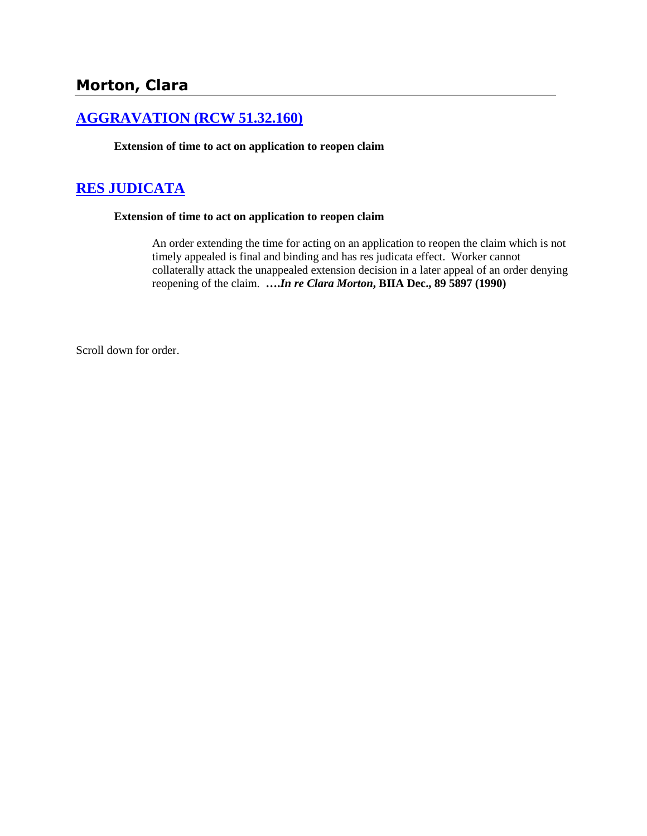# **Morton, Clara**

### **[AGGRAVATION \(RCW 51.32.160\)](http://www.biia.wa.gov/SDSubjectIndex.html#AGGRAVATION)**

**Extension of time to act on application to reopen claim**

### **[RES JUDICATA](http://www.biia.wa.gov/SDSubjectIndex.html#RES_JUDICATA)**

#### **Extension of time to act on application to reopen claim**

An order extending the time for acting on an application to reopen the claim which is not timely appealed is final and binding and has res judicata effect. Worker cannot collaterally attack the unappealed extension decision in a later appeal of an order denying reopening of the claim. **….***In re Clara Morton***, BIIA Dec., 89 5897 (1990)** 

Scroll down for order.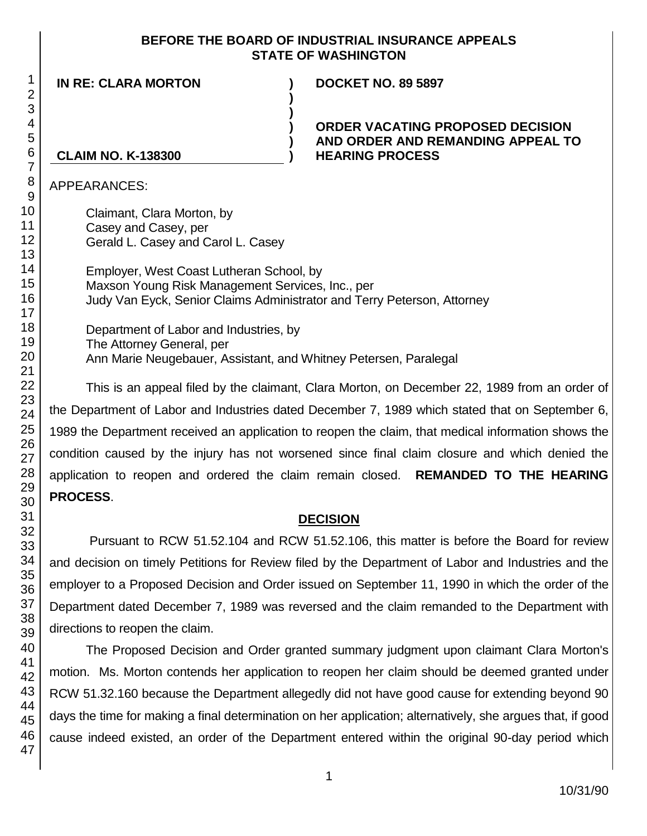#### **BEFORE THE BOARD OF INDUSTRIAL INSURANCE APPEALS STATE OF WASHINGTON**

**IN RE: CLARA MORTON ) DOCKET NO. 89 5897**

#### **ORDER VACATING PROPOSED DECISION AND ORDER AND REMANDING APPEAL TO HEARING PROCESS**

### **CLAIM NO. K-138300**

APPEARANCES:

Claimant, Clara Morton, by Casey and Casey, per Gerald L. Casey and Carol L. Casey

Employer, West Coast Lutheran School, by Maxson Young Risk Management Services, Inc., per Judy Van Eyck, Senior Claims Administrator and Terry Peterson, Attorney

**) )**

**) ) )**

Department of Labor and Industries, by The Attorney General, per Ann Marie Neugebauer, Assistant, and Whitney Petersen, Paralegal

This is an appeal filed by the claimant, Clara Morton, on December 22, 1989 from an order of the Department of Labor and Industries dated December 7, 1989 which stated that on September 6, 1989 the Department received an application to reopen the claim, that medical information shows the condition caused by the injury has not worsened since final claim closure and which denied the application to reopen and ordered the claim remain closed. **REMANDED TO THE HEARING PROCESS**.

### **DECISION**

Pursuant to RCW 51.52.104 and RCW 51.52.106, this matter is before the Board for review and decision on timely Petitions for Review filed by the Department of Labor and Industries and the employer to a Proposed Decision and Order issued on September 11, 1990 in which the order of the Department dated December 7, 1989 was reversed and the claim remanded to the Department with directions to reopen the claim.

The Proposed Decision and Order granted summary judgment upon claimant Clara Morton's motion. Ms. Morton contends her application to reopen her claim should be deemed granted under RCW 51.32.160 because the Department allegedly did not have good cause for extending beyond 90 days the time for making a final determination on her application; alternatively, she argues that, if good cause indeed existed, an order of the Department entered within the original 90-day period which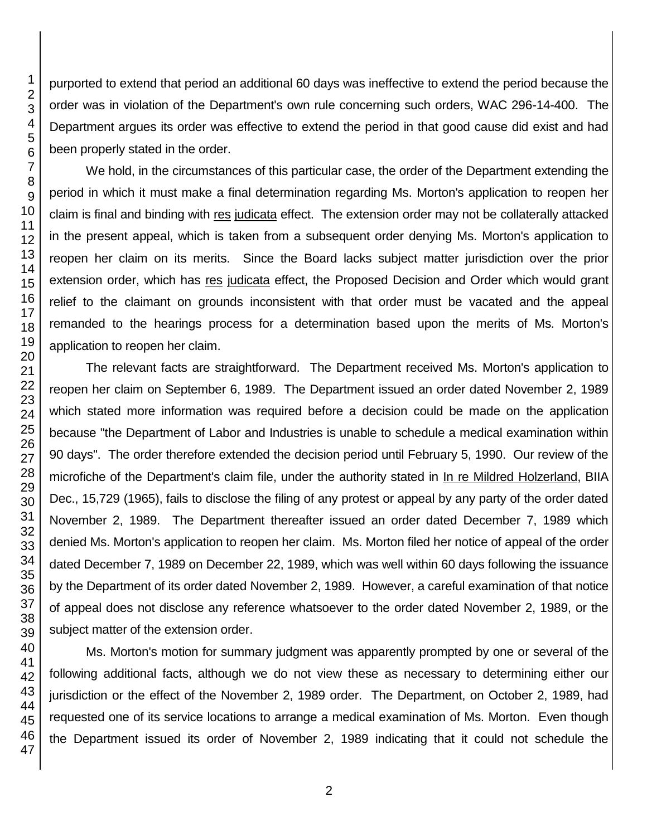purported to extend that period an additional 60 days was ineffective to extend the period because the order was in violation of the Department's own rule concerning such orders, WAC 296-14-400. The Department argues its order was effective to extend the period in that good cause did exist and had been properly stated in the order.

We hold, in the circumstances of this particular case, the order of the Department extending the period in which it must make a final determination regarding Ms. Morton's application to reopen her claim is final and binding with res judicata effect. The extension order may not be collaterally attacked in the present appeal, which is taken from a subsequent order denying Ms. Morton's application to reopen her claim on its merits. Since the Board lacks subject matter jurisdiction over the prior extension order, which has res judicata effect, the Proposed Decision and Order which would grant relief to the claimant on grounds inconsistent with that order must be vacated and the appeal remanded to the hearings process for a determination based upon the merits of Ms. Morton's application to reopen her claim.

The relevant facts are straightforward. The Department received Ms. Morton's application to reopen her claim on September 6, 1989. The Department issued an order dated November 2, 1989 which stated more information was required before a decision could be made on the application because "the Department of Labor and Industries is unable to schedule a medical examination within 90 days". The order therefore extended the decision period until February 5, 1990. Our review of the microfiche of the Department's claim file, under the authority stated in In re Mildred Holzerland, BIIA Dec., 15,729 (1965), fails to disclose the filing of any protest or appeal by any party of the order dated November 2, 1989. The Department thereafter issued an order dated December 7, 1989 which denied Ms. Morton's application to reopen her claim. Ms. Morton filed her notice of appeal of the order dated December 7, 1989 on December 22, 1989, which was well within 60 days following the issuance by the Department of its order dated November 2, 1989. However, a careful examination of that notice of appeal does not disclose any reference whatsoever to the order dated November 2, 1989, or the subject matter of the extension order.

Ms. Morton's motion for summary judgment was apparently prompted by one or several of the following additional facts, although we do not view these as necessary to determining either our jurisdiction or the effect of the November 2, 1989 order. The Department, on October 2, 1989, had requested one of its service locations to arrange a medical examination of Ms. Morton. Even though the Department issued its order of November 2, 1989 indicating that it could not schedule the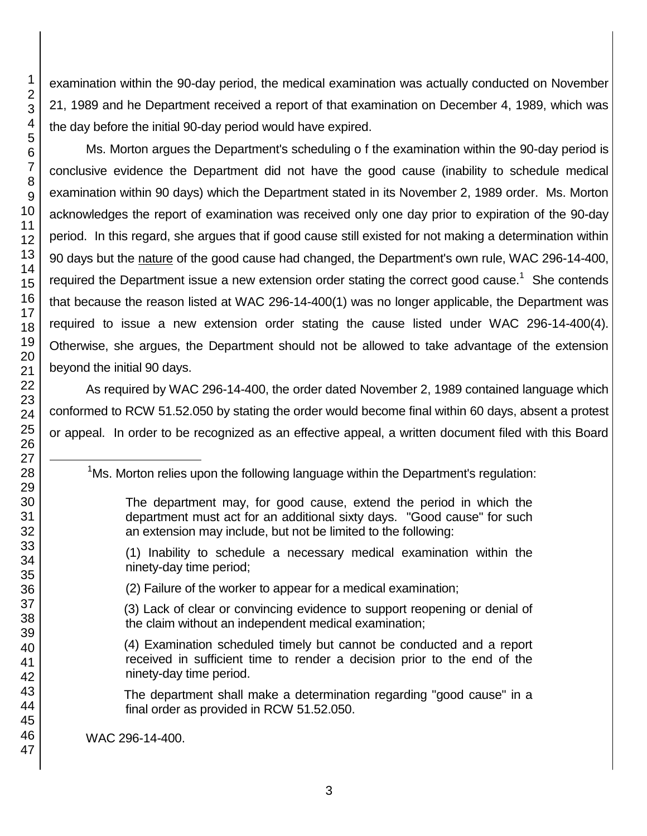examination within the 90-day period, the medical examination was actually conducted on November 21, 1989 and he Department received a report of that examination on December 4, 1989, which was the day before the initial 90-day period would have expired.

Ms. Morton argues the Department's scheduling o f the examination within the 90-day period is conclusive evidence the Department did not have the good cause (inability to schedule medical examination within 90 days) which the Department stated in its November 2, 1989 order. Ms. Morton acknowledges the report of examination was received only one day prior to expiration of the 90-day period. In this regard, she argues that if good cause still existed for not making a determination within 90 days but the nature of the good cause had changed, the Department's own rule, WAC 296-14-400, required the Department issue a new extension order stating the correct good cause.<sup>1</sup> She contends that because the reason listed at WAC 296-14-400(1) was no longer applicable, the Department was required to issue a new extension order stating the cause listed under WAC 296-14-400(4). Otherwise, she argues, the Department should not be allowed to take advantage of the extension beyond the initial 90 days.

As required by WAC 296-14-400, the order dated November 2, 1989 contained language which conformed to RCW 51.52.050 by stating the order would become final within 60 days, absent a protest or appeal. In order to be recognized as an effective appeal, a written document filed with this Board

Ms. Morton relies upon the following language within the Department's regulation:

(1) Inability to schedule a necessary medical examination within the ninety-day time period;

(2) Failure of the worker to appear for a medical examination;

(3) Lack of clear or convincing evidence to support reopening or denial of the claim without an independent medical examination;

(4) Examination scheduled timely but cannot be conducted and a report received in sufficient time to render a decision prior to the end of the ninety-day time period.

The department shall make a determination regarding "good cause" in a final order as provided in RCW 51.52.050.

WAC 296-14-400.

l

The department may, for good cause, extend the period in which the department must act for an additional sixty days. "Good cause" for such an extension may include, but not be limited to the following: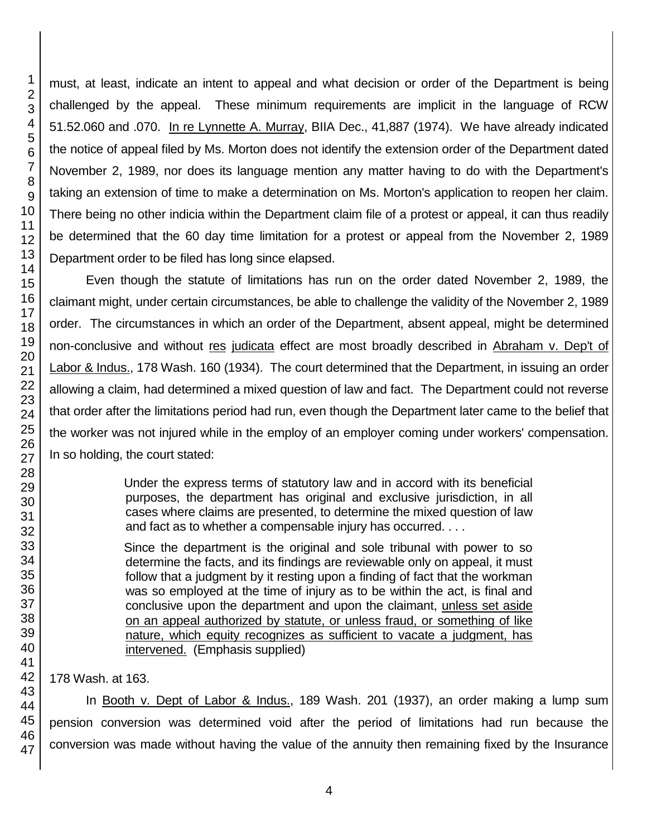must, at least, indicate an intent to appeal and what decision or order of the Department is being challenged by the appeal. These minimum requirements are implicit in the language of RCW 51.52.060 and .070. In re Lynnette A. Murray, BIIA Dec., 41,887 (1974). We have already indicated the notice of appeal filed by Ms. Morton does not identify the extension order of the Department dated November 2, 1989, nor does its language mention any matter having to do with the Department's taking an extension of time to make a determination on Ms. Morton's application to reopen her claim. There being no other indicia within the Department claim file of a protest or appeal, it can thus readily be determined that the 60 day time limitation for a protest or appeal from the November 2, 1989 Department order to be filed has long since elapsed.

Even though the statute of limitations has run on the order dated November 2, 1989, the claimant might, under certain circumstances, be able to challenge the validity of the November 2, 1989 order. The circumstances in which an order of the Department, absent appeal, might be determined non-conclusive and without res judicata effect are most broadly described in Abraham v. Dep't of Labor & Indus., 178 Wash. 160 (1934). The court determined that the Department, in issuing an order allowing a claim, had determined a mixed question of law and fact. The Department could not reverse that order after the limitations period had run, even though the Department later came to the belief that the worker was not injured while in the employ of an employer coming under workers' compensation. In so holding, the court stated:

> Under the express terms of statutory law and in accord with its beneficial purposes, the department has original and exclusive jurisdiction, in all cases where claims are presented, to determine the mixed question of law and fact as to whether a compensable injury has occurred. . . .

> Since the department is the original and sole tribunal with power to so determine the facts, and its findings are reviewable only on appeal, it must follow that a judgment by it resting upon a finding of fact that the workman was so employed at the time of injury as to be within the act, is final and conclusive upon the department and upon the claimant, unless set aside on an appeal authorized by statute, or unless fraud, or something of like nature, which equity recognizes as sufficient to vacate a judgment, has intervened. (Emphasis supplied)

178 Wash. at 163.

In Booth v. Dept of Labor & Indus., 189 Wash. 201 (1937), an order making a lump sum pension conversion was determined void after the period of limitations had run because the conversion was made without having the value of the annuity then remaining fixed by the Insurance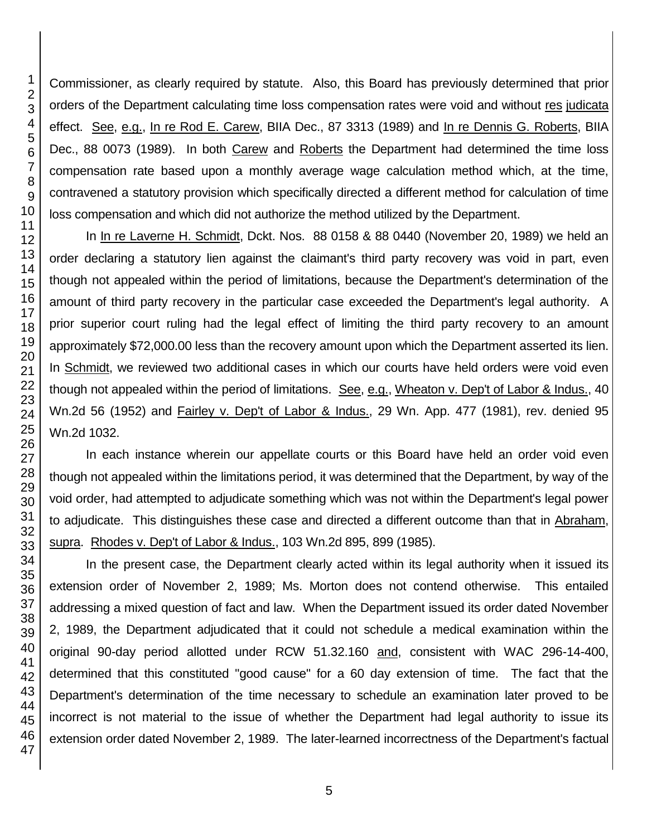Commissioner, as clearly required by statute. Also, this Board has previously determined that prior orders of the Department calculating time loss compensation rates were void and without res judicata effect. See, e.g., In re Rod E. Carew, BIIA Dec., 87 3313 (1989) and In re Dennis G. Roberts, BIIA Dec., 88 0073 (1989). In both Carew and Roberts the Department had determined the time loss compensation rate based upon a monthly average wage calculation method which, at the time, contravened a statutory provision which specifically directed a different method for calculation of time loss compensation and which did not authorize the method utilized by the Department.

In In re Laverne H. Schmidt, Dckt. Nos. 88 0158 & 88 0440 (November 20, 1989) we held an order declaring a statutory lien against the claimant's third party recovery was void in part, even though not appealed within the period of limitations, because the Department's determination of the amount of third party recovery in the particular case exceeded the Department's legal authority. A prior superior court ruling had the legal effect of limiting the third party recovery to an amount approximately \$72,000.00 less than the recovery amount upon which the Department asserted its lien. In Schmidt, we reviewed two additional cases in which our courts have held orders were void even though not appealed within the period of limitations. See, e.g., Wheaton v. Dep't of Labor & Indus., 40 Wn.2d 56 (1952) and Fairley v. Dep't of Labor & Indus., 29 Wn. App. 477 (1981), rev. denied 95 Wn.2d 1032.

In each instance wherein our appellate courts or this Board have held an order void even though not appealed within the limitations period, it was determined that the Department, by way of the void order, had attempted to adjudicate something which was not within the Department's legal power to adjudicate. This distinguishes these case and directed a different outcome than that in Abraham, supra. Rhodes v. Dep't of Labor & Indus., 103 Wn.2d 895, 899 (1985).

In the present case, the Department clearly acted within its legal authority when it issued its extension order of November 2, 1989; Ms. Morton does not contend otherwise. This entailed addressing a mixed question of fact and law. When the Department issued its order dated November 2, 1989, the Department adjudicated that it could not schedule a medical examination within the original 90-day period allotted under RCW 51.32.160 and, consistent with WAC 296-14-400, determined that this constituted "good cause" for a 60 day extension of time. The fact that the Department's determination of the time necessary to schedule an examination later proved to be incorrect is not material to the issue of whether the Department had legal authority to issue its extension order dated November 2, 1989. The later-learned incorrectness of the Department's factual